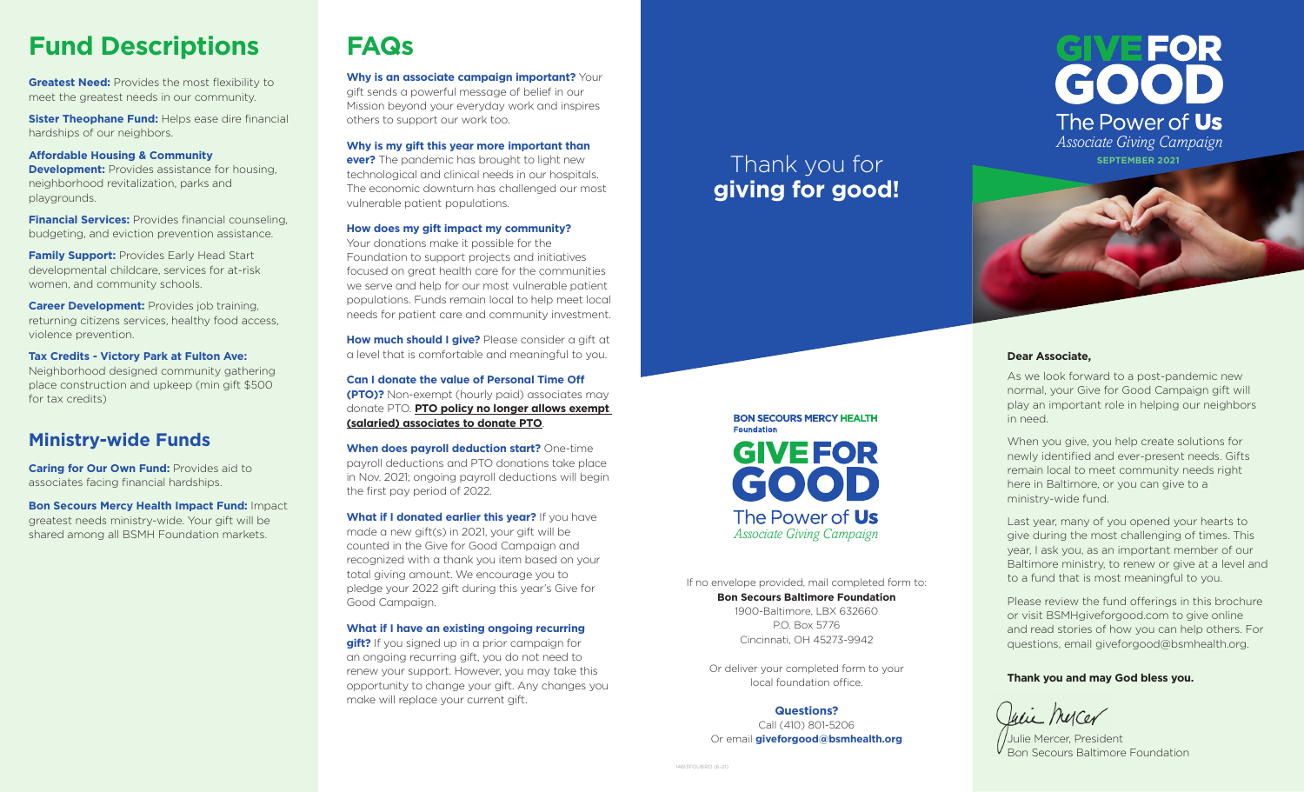# **Fund Descriptions**

**Greatest Need:** Provides the most flexibility to meet the greatest needs in our community.

**Sister Theophane Fund: Helps ease dire financial** hardships of our neighbors.

#### **Affordable Housing & Community**

**Development:** Provides assistance for housing, neighborhood revitalization, parks and playgrounds.

**Financial Services:** Provides financial counseling, budgeting, and eviction prevention assistance.

**Family Support: Provides Early Head Start** developmental childcare, services for at-risk women, and community schools.

**Career Development:** Provides job training, returning citizens services, healthy food access, violence prevention.

**Tax Credits - Victory Park at Fulton Ave:** Neighborhood designed community gathering place construction and upkeep (min gift \$500 for tax credits)

# **Ministry-wide Funds**

**Caring for Our Own Fund:** Provides aid to associates facing financial hardships.

**Bon Secours Mercy Health Impact Fund:** Impact greatest needs ministry-wide. Your gift will be shared among all BSMH Foundation markets.

# **FAQs**

**Why is an associate campaign important?** Your gift sends a powerful message of belief in our Mission beyond your everyday work and inspires others to support our work too.

**Why is my gift this year more important than** 

**ever?** The pandemic has brought to light new technological and clinical needs in our hospitals. The economic downturn has challenged our most vulnerable patient populations.

#### **How does my gift impact my community?**

Your donations make it possible for the Foundation to support projects and initiatives focused on great health care for the communities we serve and help for our most vulnerable patient populations. Funds remain local to help meet local needs for patient care and community investment.

**How much should I give?** Please consider a gift at a level that is comfortable and meaningful to you.

**Can I donate the value of Personal Time Off (PTO)?** Non-exempt (hourly paid) associates may donate PTO. **PTO policy no longer allows exempt (salaried) associates to donate PTO**.

**When does payroll deduction start?** One-time payroll deductions and PTO donations take place in Nov. 2021; ongoing payroll deductions will begin the first pay period of 2022.

**What if I donated earlier this year?** If you have made a new gift(s) in 2021, your gift will be counted in the Give for Good Campaign and recognized with a thank you item based on your total giving amount. We encourage you to pledge your 2022 gift during this year's Give for Good Campaign.

#### **What if I have an existing ongoing recurring**

**gift?** If you signed up in a prior campaign for an ongoing recurring gift, you do not need to renew your support. However, you may take this opportunity to change your gift. Any changes you make will replace your current gift.

# Thank you for **giving for good!**

If no envelope provided, mail completed form to: **Bon Secours Baltimore Foundation** 1900-Baltimore, LBX 632660 P.O. Box 5776 Cincinnati, OH 45273-9942

*Associate Giving Campaign*

The Power of Us

**BON SECOURS MERCY HEALTH** 

**GIVEFOR** 

GOOD

**Foundation** 

Or deliver your completed form to your local foundation office.

**Questions?** Call (410) 801-5206 Or email **giveforgood@bsmhealth.org**



# **SEPTEMBER 2021**

#### **Dear Associate,**

As we look forward to a post-pandemic new normal, your Give for Good Campaign gift will play an important role in helping our neighbors in need.

When you give, you help create solutions for newly identified and ever-present needs. Gifts remain local to meet community needs right here in Baltimore, or you can give to a ministry-wide fund.

Last year, many of you opened your hearts to give during the most challenging of times. This year, I ask you, as an important member of our Baltimore ministry, to renew or give at a level and to a fund that is most meaningful to you.

Please review the fund offerings in this brochure or visit BSMHgiveforgood.com to give online and read stories of how you can help others. For questions, email giveforgood@bsmhealth.org.

#### **Thank you and may God bless you.**

Weie Mercer

Julie Mercer, President Bon Secours Baltimore Foundation

14613FOUBRO (6-21)